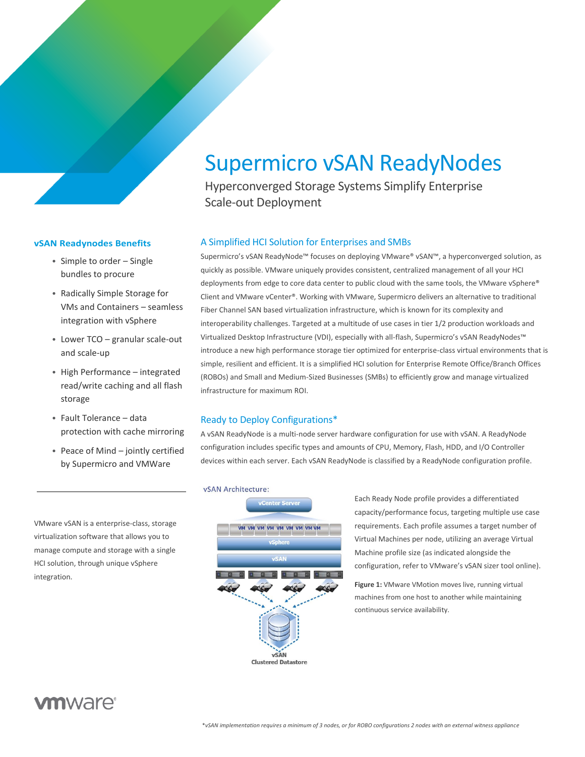# Supermicro vSAN ReadyNodes

Hyperconverged Storage Systems Simplify Enterprise Scale-out Deployment

#### A Simplified HCI Solution for Enterprises and SMBs

Supermicro's vSAN ReadyNode™ focuses on deploying VMware® vSAN™, a hyperconverged solution, as quickly as possible. VMware uniquely provides consistent, centralized management of all your HCI deployments from edge to core data center to public cloud with the same tools, the VMware vSphere® Client and VMware vCenter®. Working with VMware, Supermicro delivers an alternative to traditional Fiber Channel SAN based virtualization infrastructure, which is known for its complexity and interoperability challenges. Targeted at a multitude of use cases in tier 1/2 production workloads and Virtualized Desktop Infrastructure (VDI), especially with all-flash, Supermicro's vSAN ReadyNodes™ introduce a new high performance storage tier optimized for enterprise-class virtual environments that is simple, resilient and efficient. It is a simplified HCI solution for Enterprise Remote Office/Branch Offices (ROBOs) and Small and Medium-Sized Businesses (SMBs) to efficiently grow and manage virtualized infrastructure for maximum ROI.

#### Ready to Deploy Configurations\*

A vSAN ReadyNode is a multi-node server hardware configuration for use with vSAN. A ReadyNode configuration includes specific types and amounts of CPU, Memory, Flash, HDD, and I/O Controller devices within each server. Each vSAN ReadyNode is classified by a ReadyNode configuration profile.

#### vSAN Architecture:



Each Ready Node profile provides a differentiated capacity/performance focus, targeting multiple use case requirements. Each profile assumes a target number of Virtual Machines per node, utilizing an average Virtual Machine profile size (as indicated alongside the configuration, refer to VMware's vSAN sizer tool online).

**Figure 1:** VMware VMotion moves live, running virtual machines from one host to another while maintaining continuous service availability.

#### **vSAN Readynodes Benefits**

- Simple to order Single bundles to procure
- Radically Simple Storage for VMs and Containers – seamless integration with vSphere
- Lower TCO granular scale-out and scale-up
- High Performance integrated read/write caching and all flash storage
- Fault Tolerance data protection with cache mirroring
- Peace of Mind jointly certified by Supermicro and VMWare

VMware vSAN is a enterprise-class, storage virtualization software that allows you to manage compute and storage with a single HCI solution, through unique vSphere integration.

## *m*ware<sup>®</sup>